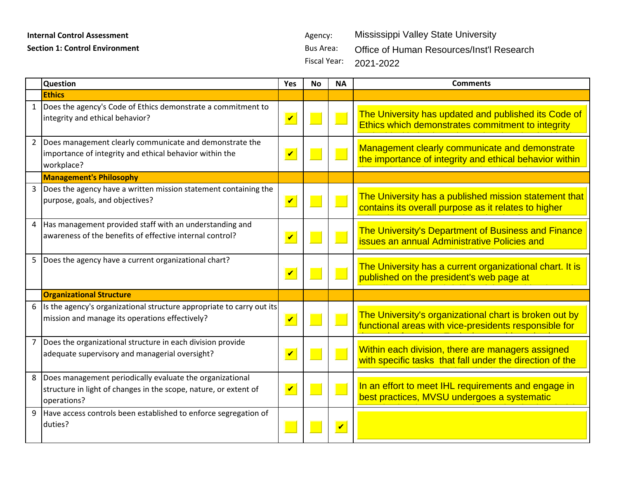## **Internal Control Assessment Agency:** Agency:

**Section 1: Control Environment** Bus Area:

Fiscal Year: Mississippi Valley State University Office of Human Resources/Inst'l Research 2021-2022

|                | <b>Question</b>                                                                                                                             | <b>Yes</b>                 | <b>No</b> | <b>NA</b>               | <b>Comments</b>                                                                                                 |
|----------------|---------------------------------------------------------------------------------------------------------------------------------------------|----------------------------|-----------|-------------------------|-----------------------------------------------------------------------------------------------------------------|
|                | <b>Ethics</b>                                                                                                                               |                            |           |                         |                                                                                                                 |
|                | 1  Does the agency's Code of Ethics demonstrate a commitment to<br>integrity and ethical behavior?                                          | $\overline{\mathbf{v}}$    |           |                         | The University has updated and published its Code of<br>Ethics which demonstrates commitment to integrity       |
|                | 2 Does management clearly communicate and demonstrate the<br>importance of integrity and ethical behavior within the<br>workplace?          | $\overline{\mathbf{v}}$    |           |                         | Management clearly communicate and demonstrate<br>the importance of integrity and ethical behavior within       |
|                | <b>Management's Philosophy</b>                                                                                                              |                            |           |                         |                                                                                                                 |
|                | 3 Does the agency have a written mission statement containing the<br>purpose, goals, and objectives?                                        | $\blacktriangledown$       |           |                         | The University has a published mission statement that<br>contains its overall purpose as it relates to higher   |
|                | 4   Has management provided staff with an understanding and<br>awareness of the benefits of effective internal control?                     | $\boldsymbol{\mathcal{U}}$ |           |                         | The University's Department of Business and Finance<br><b>issues an annual Administrative Policies and</b>      |
| 5 <sub>1</sub> | Does the agency have a current organizational chart?                                                                                        | $\overline{\mathbf{v}}$    |           |                         | The University has a current organizational chart. It is<br>published on the president's web page at            |
|                | <b>Organizational Structure</b>                                                                                                             |                            |           |                         |                                                                                                                 |
| 6              | Is the agency's organizational structure appropriate to carry out its<br>mission and manage its operations effectively?                     | $\overline{\mathbf{v}}$    |           |                         | The University's organizational chart is broken out by<br>functional areas with vice-presidents responsible for |
| $7^{\circ}$    | Does the organizational structure in each division provide<br>adequate supervisory and managerial oversight?                                | $\overline{\mathbf{v}}$    |           |                         | Within each division, there are managers assigned<br>with specific tasks that fall under the direction of the   |
| 8              | Does management periodically evaluate the organizational<br>structure in light of changes in the scope, nature, or extent of<br>operations? | $\overline{\mathbf{v}}$    |           |                         | In an effort to meet IHL requirements and engage in<br>best practices, MVSU undergoes a systematic              |
|                | 9 Have access controls been established to enforce segregation of<br>duties?                                                                |                            |           | $\overline{\mathbf{v}}$ |                                                                                                                 |